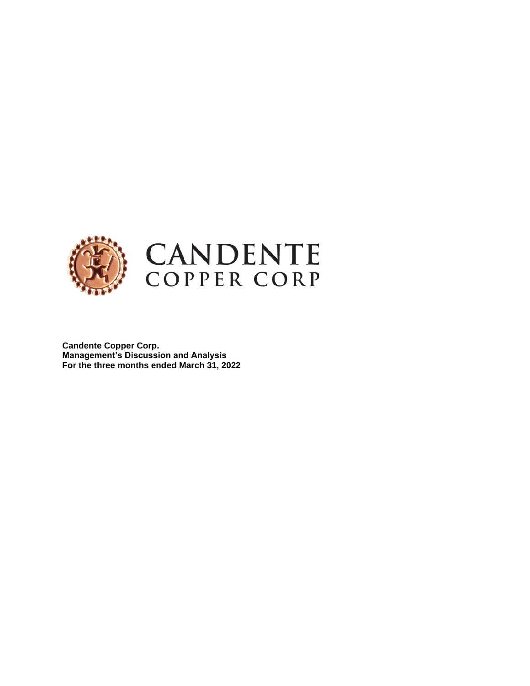

**Candente Copper Corp. Management's Discussion and Analysis For the three months ended March 31, 2022**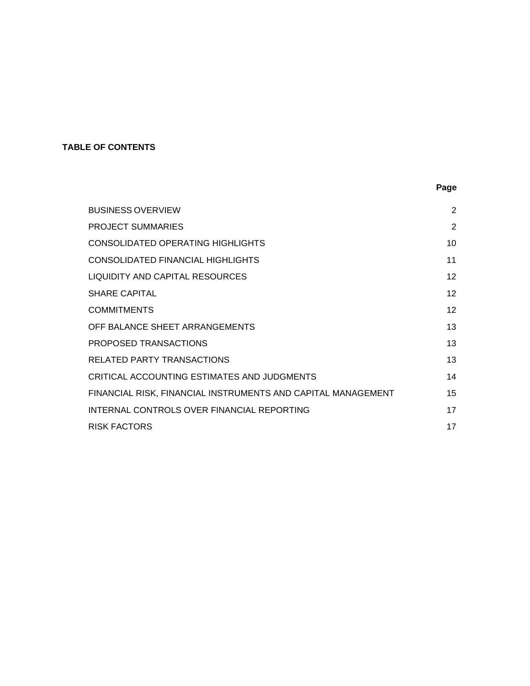# **TABLE OF CONTENTS**

|                                                              | Page            |
|--------------------------------------------------------------|-----------------|
| <b>BUSINESS OVERVIEW</b>                                     | $\overline{2}$  |
| <b>PROJECT SUMMARIES</b>                                     | $\overline{2}$  |
| CONSOLIDATED OPERATING HIGHLIGHTS                            | 10              |
| CONSOLIDATED FINANCIAL HIGHLIGHTS                            | 11              |
| LIQUIDITY AND CAPITAL RESOURCES                              | 12 <sup>2</sup> |
| <b>SHARE CAPITAL</b>                                         | 12 <sup>2</sup> |
| <b>COMMITMENTS</b>                                           | 12 <sup>2</sup> |
| OFF BALANCE SHEET ARRANGEMENTS                               | 13              |
| PROPOSED TRANSACTIONS                                        | 13              |
| RELATED PARTY TRANSACTIONS                                   | 13              |
| CRITICAL ACCOUNTING ESTIMATES AND JUDGMENTS                  | 14              |
| FINANCIAL RISK, FINANCIAL INSTRUMENTS AND CAPITAL MANAGEMENT | 15              |
| INTERNAL CONTROLS OVER FINANCIAL REPORTING                   | 17              |
| <b>RISK FACTORS</b>                                          | 17              |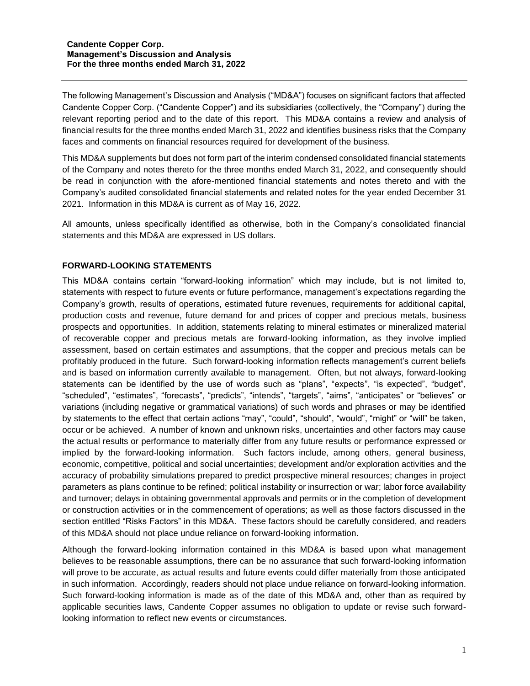The following Management's Discussion and Analysis ("MD&A") focuses on significant factors that affected Candente Copper Corp. ("Candente Copper") and its subsidiaries (collectively, the "Company") during the relevant reporting period and to the date of this report. This MD&A contains a review and analysis of financial results for the three months ended March 31, 2022 and identifies business risks that the Company faces and comments on financial resources required for development of the business.

This MD&A supplements but does not form part of the interim condensed consolidated financial statements of the Company and notes thereto for the three months ended March 31, 2022, and consequently should be read in conjunction with the afore-mentioned financial statements and notes thereto and with the Company's audited consolidated financial statements and related notes for the year ended December 31 2021. Information in this MD&A is current as of May 16, 2022.

All amounts, unless specifically identified as otherwise, both in the Company's consolidated financial statements and this MD&A are expressed in US dollars.

## **FORWARD-LOOKING STATEMENTS**

This MD&A contains certain "forward-looking information" which may include, but is not limited to, statements with respect to future events or future performance, management's expectations regarding the Company's growth, results of operations, estimated future revenues, requirements for additional capital, production costs and revenue, future demand for and prices of copper and precious metals, business prospects and opportunities. In addition, statements relating to mineral estimates or mineralized material of recoverable copper and precious metals are forward-looking information, as they involve implied assessment, based on certain estimates and assumptions, that the copper and precious metals can be profitably produced in the future. Such forward-looking information reflects management's current beliefs and is based on information currently available to management. Often, but not always, forward-looking statements can be identified by the use of words such as "plans", "expects", "is expected", "budget", "scheduled", "estimates", "forecasts", "predicts", "intends", "targets", "aims", "anticipates" or "believes" or variations (including negative or grammatical variations) of such words and phrases or may be identified by statements to the effect that certain actions "may", "could", "should", "would", "might" or "will" be taken, occur or be achieved. A number of known and unknown risks, uncertainties and other factors may cause the actual results or performance to materially differ from any future results or performance expressed or implied by the forward-looking information. Such factors include, among others, general business, economic, competitive, political and social uncertainties; development and/or exploration activities and the accuracy of probability simulations prepared to predict prospective mineral resources; changes in project parameters as plans continue to be refined; political instability or insurrection or war; labor force availability and turnover; delays in obtaining governmental approvals and permits or in the completion of development or construction activities or in the commencement of operations; as well as those factors discussed in the section entitled "Risks Factors" in this MD&A. These factors should be carefully considered, and readers of this MD&A should not place undue reliance on forward-looking information.

Although the forward-looking information contained in this MD&A is based upon what management believes to be reasonable assumptions, there can be no assurance that such forward-looking information will prove to be accurate, as actual results and future events could differ materially from those anticipated in such information. Accordingly, readers should not place undue reliance on forward-looking information. Such forward-looking information is made as of the date of this MD&A and, other than as required by applicable securities laws, Candente Copper assumes no obligation to update or revise such forwardlooking information to reflect new events or circumstances.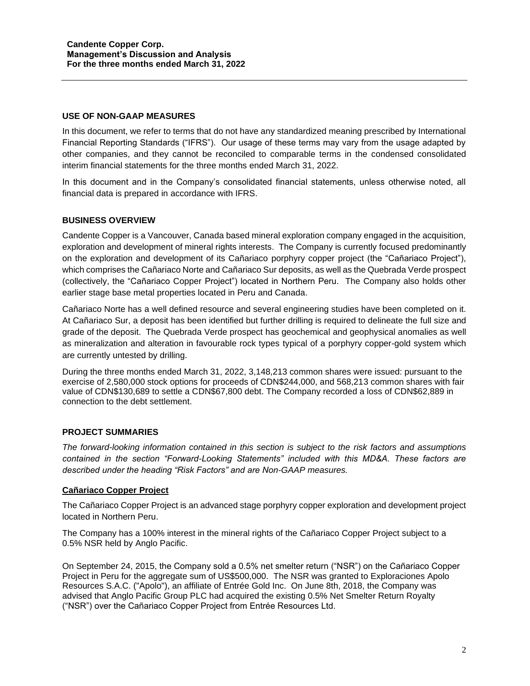## **USE OF NON-GAAP MEASURES**

In this document, we refer to terms that do not have any standardized meaning prescribed by International Financial Reporting Standards ("IFRS"). Our usage of these terms may vary from the usage adapted by other companies, and they cannot be reconciled to comparable terms in the condensed consolidated interim financial statements for the three months ended March 31, 2022.

In this document and in the Company's consolidated financial statements, unless otherwise noted, all financial data is prepared in accordance with IFRS.

#### **BUSINESS OVERVIEW**

Candente Copper is a Vancouver, Canada based mineral exploration company engaged in the acquisition, exploration and development of mineral rights interests. The Company is currently focused predominantly on the exploration and development of its Cañariaco porphyry copper project (the "Cañariaco Project"), which comprises the Cañariaco Norte and Cañariaco Sur deposits, as well as the Quebrada Verde prospect (collectively, the "Cañariaco Copper Project") located in Northern Peru. The Company also holds other earlier stage base metal properties located in Peru and Canada.

Cañariaco Norte has a well defined resource and several engineering studies have been completed on it. At Cañariaco Sur, a deposit has been identified but further drilling is required to delineate the full size and grade of the deposit. The Quebrada Verde prospect has geochemical and geophysical anomalies as well as mineralization and alteration in favourable rock types typical of a porphyry copper-gold system which are currently untested by drilling.

During the three months ended March 31, 2022, 3,148,213 common shares were issued: pursuant to the exercise of 2,580,000 stock options for proceeds of CDN\$244,000, and 568,213 common shares with fair value of CDN\$130,689 to settle a CDN\$67,800 debt. The Company recorded a loss of CDN\$62,889 in connection to the debt settlement.

#### **PROJECT SUMMARIES**

*The forward-looking information contained in this section is subject to the risk factors and assumptions contained in the section "Forward-Looking Statements" included with this MD&A. These factors are described under the heading "Risk Factors" and are Non-GAAP measures.*

#### **Cañariaco Copper Project**

The Cañariaco Copper Project is an advanced stage porphyry copper exploration and development project located in Northern Peru.

The Company has a 100% interest in the mineral rights of the Cañariaco Copper Project subject to a 0.5% NSR held by Anglo Pacific.

On September 24, 2015, the Company sold a 0.5% net smelter return ("NSR") on the Cañariaco Copper Project in Peru for the aggregate sum of US\$500,000. The NSR was granted to Exploraciones Apolo Resources S.A.C. ("Apolo"), an affiliate of Entrée Gold Inc. On June 8th, 2018, the Company was advised that Anglo Pacific Group PLC had acquired the existing 0.5% Net Smelter Return Royalty ("NSR") over the Cañariaco Copper Project from Entrée Resources Ltd.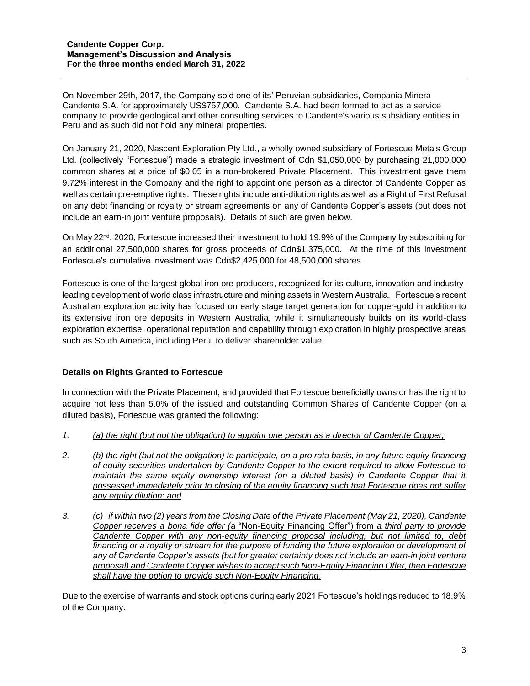On November 29th, 2017, the Company sold one of its' Peruvian subsidiaries, Compania Minera Candente S.A. for approximately US\$757,000. Candente S.A. had been formed to act as a service company to provide geological and other consulting services to Candente's various subsidiary entities in Peru and as such did not hold any mineral properties.

On January 21, 2020, Nascent Exploration Pty Ltd., a wholly owned subsidiary of Fortescue Metals Group Ltd. (collectively "Fortescue") made a strategic investment of Cdn \$1,050,000 by purchasing 21,000,000 common shares at a price of \$0.05 in a non-brokered Private Placement. This investment gave them 9.72% interest in the Company and the right to appoint one person as a director of Candente Copper as well as certain pre-emptive rights. These rights include anti-dilution rights as well as a Right of First Refusal on any debt financing or royalty or stream agreements on any of Candente Copper's assets (but does not include an earn-in joint venture proposals). Details of such are given below.

On May 22<sup>nd</sup>, 2020, Fortescue increased their investment to hold 19.9% of the Company by subscribing for an additional 27,500,000 shares for gross proceeds of Cdn\$1,375,000. At the time of this investment Fortescue's cumulative investment was Cdn\$2,425,000 for 48,500,000 shares.

Fortescue is one of the largest global iron ore producers, recognized for its culture, innovation and industryleading development of world class infrastructure and mining assets in Western Australia. Fortescue's recent Australian exploration activity has focused on early stage target generation for copper-gold in addition to its extensive iron ore deposits in Western Australia, while it simultaneously builds on its world-class exploration expertise, operational reputation and capability through exploration in highly prospective areas such as South America, including Peru, to deliver shareholder value.

## **Details on Rights Granted to Fortescue**

In connection with the Private Placement, and provided that Fortescue beneficially owns or has the right to acquire not less than 5.0% of the issued and outstanding Common Shares of Candente Copper (on a diluted basis), Fortescue was granted the following:

- *1. (a) the right (but not the obligation) to appoint one person as a director of Candente Copper;*
- *2. (b) the right (but not the obligation) to participate, on a pro rata basis, in any future equity financing of equity securities undertaken by Candente Copper to the extent required to allow Fortescue to maintain the same equity ownership interest (on a diluted basis) in Candente Copper that it possessed immediately prior to closing of the equity financing such that Fortescue does not suffer any equity dilution; and*
- *3. (c) if within two (2) years from the Closing Date of the Private Placement (May 21, 2020), Candente Copper receives a bona fide offer (*a "Non-Equity Financing Offer") from *a third party to provide Candente Copper with any non-equity financing proposal including, but not limited to, debt*  financing or a royalty or stream for the purpose of funding the future exploration or development of *any of Candente Copper's assets (but for greater certainty does not include an earn-in joint venture proposal) and Candente Copper wishes to accept such Non-Equity Financing Offer, then Fortescue shall have the option to provide such Non-Equity Financing.*

Due to the exercise of warrants and stock options during early 2021 Fortescue's holdings reduced to 18.9% of the Company.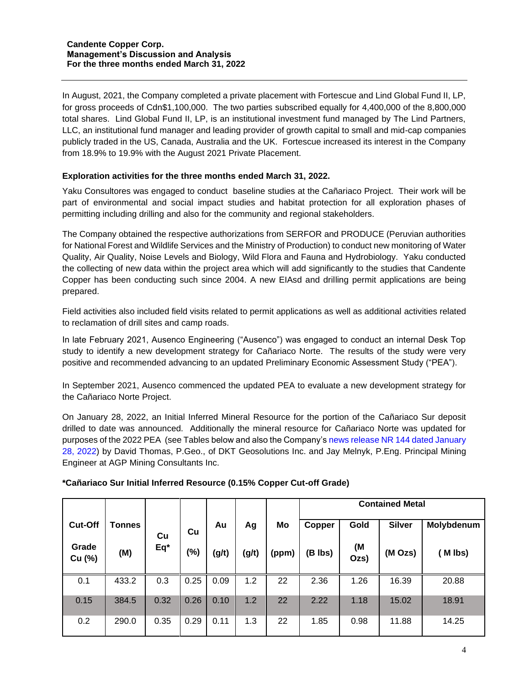In August, 2021, the Company completed a private placement with Fortescue and Lind Global Fund II, LP, for gross proceeds of Cdn\$1,100,000. The two parties subscribed equally for 4,400,000 of the 8,800,000 total shares. Lind Global Fund II, LP, is an institutional investment fund managed by The Lind Partners, LLC, an institutional fund manager and leading provider of growth capital to small and mid-cap companies publicly traded in the US, Canada, Australia and the UK. Fortescue increased its interest in the Company from 18.9% to 19.9% with the August 2021 Private Placement.

## **Exploration activities for the three months ended March 31, 2022.**

Yaku Consultores was engaged to conduct baseline studies at the Cañariaco Project. Their work will be part of environmental and social impact studies and habitat protection for all exploration phases of permitting including drilling and also for the community and regional stakeholders.

The Company obtained the respective authorizations from SERFOR and PRODUCE (Peruvian authorities for National Forest and Wildlife Services and the Ministry of Production) to conduct new monitoring of Water Quality, Air Quality, Noise Levels and Biology, Wild Flora and Fauna and Hydrobiology. Yaku conducted the collecting of new data within the project area which will add significantly to the studies that Candente Copper has been conducting such since 2004. A new EIAsd and drilling permit applications are being prepared.

Field activities also included field visits related to permit applications as well as additional activities related to reclamation of drill sites and camp roads.

In late February 2021, Ausenco Engineering ("Ausenco") was engaged to conduct an internal Desk Top study to identify a new development strategy for Cañariaco Norte. The results of the study were very positive and recommended advancing to an updated Preliminary Economic Assessment Study ("PEA").

In September 2021, Ausenco commenced the updated PEA to evaluate a new development strategy for the Cañariaco Norte Project.

On January 28, 2022, an Initial Inferred Mineral Resource for the portion of the Cañariaco Sur deposit drilled to date was announced. Additionally the mineral resource for Cañariaco Norte was updated for purposes of the 2022 PEA (see Tables below and also the Company's [news release NR 144 dated January](https://candentecopper.com/news-releases/news-releases/2022/candente-copper-announces-initial-inferred-resource-for-canariaco-sur-copper-gold-porphyry-updates-canariaco-norte-resource-peru/)  [28, 2022\)](https://candentecopper.com/news-releases/news-releases/2022/candente-copper-announces-initial-inferred-resource-for-canariaco-sur-copper-gold-porphyry-updates-canariaco-norte-resource-peru/) by David Thomas, P.Geo., of DKT Geosolutions Inc. and Jay Melnyk, P.Eng. Principal Mining Engineer at AGP Mining Consultants Inc.

|                 |               |      |      |       |       |       | <b>Contained Metal</b> |            |               |            |  |  |
|-----------------|---------------|------|------|-------|-------|-------|------------------------|------------|---------------|------------|--|--|
| <b>Cut-Off</b>  | <b>Tonnes</b> | Cu   | Cu   | Au    | Ag    | Mo    | Copper                 | Gold       | <b>Silver</b> | Molybdenum |  |  |
| Grade<br>Cu (%) | (M)           | Eq*  | (%)  | (g/t) | (g/t) | (ppm) | (B lbs)                | (M<br>Ozs) | (M Ozs)       | M lbs)     |  |  |
| 0.1             | 433.2         | 0.3  | 0.25 | 0.09  | 1.2   | 22    | 2.36                   | 1.26       | 16.39         | 20.88      |  |  |
| 0.15            | 384.5         | 0.32 | 0.26 | 0.10  | 1.2   | 22    | 2.22                   | 1.18       | 15.02         | 18.91      |  |  |
| 0.2             | 290.0         | 0.35 | 0.29 | 0.11  | 1.3   | 22    | 1.85                   | 0.98       | 11.88         | 14.25      |  |  |

## **\*Cañariaco Sur Initial Inferred Resource (0.15% Copper Cut-off Grade)**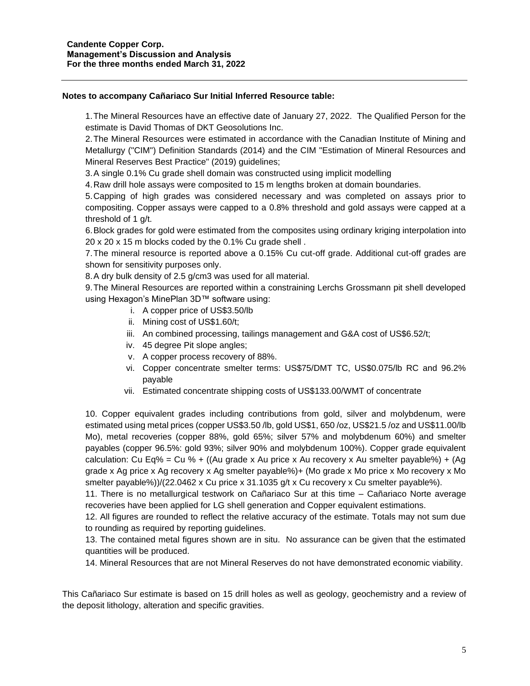#### **Notes to accompany Cañariaco Sur Initial Inferred Resource table:**

1.The Mineral Resources have an effective date of January 27, 2022. The Qualified Person for the estimate is David Thomas of DKT Geosolutions Inc.

2.The Mineral Resources were estimated in accordance with the Canadian Institute of Mining and Metallurgy ("CIM") Definition Standards (2014) and the CIM "Estimation of Mineral Resources and Mineral Reserves Best Practice" (2019) guidelines;

3.A single 0.1% Cu grade shell domain was constructed using implicit modelling

4.Raw drill hole assays were composited to 15 m lengths broken at domain boundaries.

5.Capping of high grades was considered necessary and was completed on assays prior to compositing. Copper assays were capped to a 0.8% threshold and gold assays were capped at a threshold of 1 g/t.

6.Block grades for gold were estimated from the composites using ordinary kriging interpolation into 20 x 20 x 15 m blocks coded by the 0.1% Cu grade shell .

7.The mineral resource is reported above a 0.15% Cu cut-off grade. Additional cut-off grades are shown for sensitivity purposes only.

8.A dry bulk density of 2.5 g/cm3 was used for all material.

9.The Mineral Resources are reported within a constraining Lerchs Grossmann pit shell developed using Hexagon's MinePlan 3D™ software using:

- i. A copper price of US\$3.50/lb
- ii. Mining cost of US\$1.60/t;
- iii. An combined processing, tailings management and G&A cost of US\$6.52/t;
- iv. 45 degree Pit slope angles;
- v. A copper process recovery of 88%.
- vi. Copper concentrate smelter terms: US\$75/DMT TC, US\$0.075/lb RC and 96.2% payable
- vii. Estimated concentrate shipping costs of US\$133.00/WMT of concentrate

10. Copper equivalent grades including contributions from gold, silver and molybdenum, were estimated using metal prices (copper US\$3.50 /lb, gold US\$1, 650 /oz, US\$21.5 /oz and US\$11.00/lb Mo), metal recoveries (copper 88%, gold 65%; silver 57% and molybdenum 60%) and smelter payables (copper 96.5%: gold 93%; silver 90% and molybdenum 100%). Copper grade equivalent calculation: Cu Eq% = Cu % + ((Au grade x Au price x Au recovery x Au smelter payable%) + (Ag grade x Ag price x Ag recovery x Ag smelter payable%)+ (Mo grade x Mo price x Mo recovery x Mo smelter payable%))/(22.0462 x Cu price x 31.1035 g/t x Cu recovery x Cu smelter payable%).

11. There is no metallurgical testwork on Cañariaco Sur at this time – Cañariaco Norte average recoveries have been applied for LG shell generation and Copper equivalent estimations.

12. All figures are rounded to reflect the relative accuracy of the estimate. Totals may not sum due to rounding as required by reporting guidelines.

13. The contained metal figures shown are in situ. No assurance can be given that the estimated quantities will be produced.

14. Mineral Resources that are not Mineral Reserves do not have demonstrated economic viability.

This Cañariaco Sur estimate is based on 15 drill holes as well as geology, geochemistry and a review of the deposit lithology, alteration and specific gravities.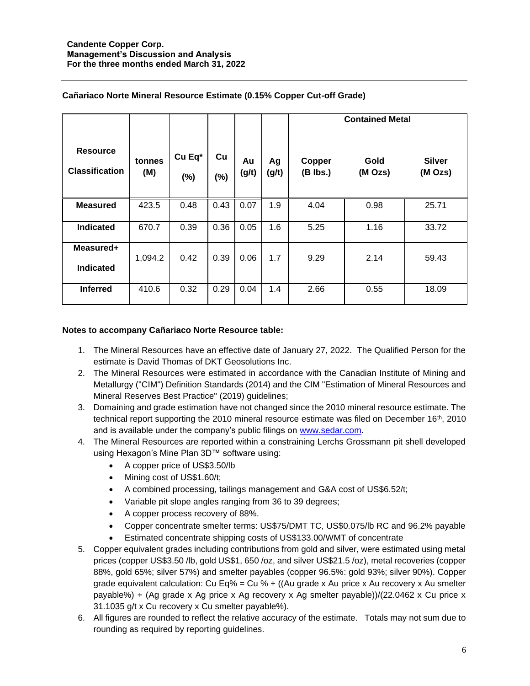|                                          |               |                  |              |             |             | <b>Contained Metal</b> |                 |                          |  |  |  |
|------------------------------------------|---------------|------------------|--------------|-------------|-------------|------------------------|-----------------|--------------------------|--|--|--|
| <b>Resource</b><br><b>Classification</b> | tonnes<br>(M) | Cu Eq*<br>$(\%)$ | Cu<br>$(\%)$ | Au<br>(g/t) | Ag<br>(g/t) | Copper<br>$(B$ lbs.)   | Gold<br>(M Ozs) | <b>Silver</b><br>(M Ozs) |  |  |  |
| <b>Measured</b>                          | 423.5         | 0.48             | 0.43         | 0.07        | 1.9         | 4.04                   | 0.98            | 25.71                    |  |  |  |
| <b>Indicated</b>                         | 670.7         | 0.39             | 0.36         | 0.05        | 1.6         | 5.25                   | 1.16            | 33.72                    |  |  |  |
| Measured+<br><b>Indicated</b>            | 1,094.2       | 0.42             | 0.39         | 0.06        | 1.7         | 9.29                   | 2.14            | 59.43                    |  |  |  |
| <b>Inferred</b>                          | 410.6         | 0.32             | 0.29         | 0.04        | 1.4         | 2.66                   | 0.55            | 18.09                    |  |  |  |

## **Cañariaco Norte Mineral Resource Estimate (0.15% Copper Cut-off Grade)**

#### **Notes to accompany Cañariaco Norte Resource table:**

- 1. The Mineral Resources have an effective date of January 27, 2022. The Qualified Person for the estimate is David Thomas of DKT Geosolutions Inc.
- 2. The Mineral Resources were estimated in accordance with the Canadian Institute of Mining and Metallurgy ("CIM") Definition Standards (2014) and the CIM "Estimation of Mineral Resources and Mineral Reserves Best Practice" (2019) guidelines;
- 3. Domaining and grade estimation have not changed since the 2010 mineral resource estimate. The technical report supporting the 2010 mineral resource estimate was filed on December  $16<sup>th</sup>$ , 2010 and is available under the company's public filings on [www.sedar.com.](http://www.sedar.com/)
- 4. The Mineral Resources are reported within a constraining Lerchs Grossmann pit shell developed using Hexagon's Mine Plan 3D™ software using:
	- A copper price of US\$3.50/lb
	- Mining cost of US\$1.60/t;
	- A combined processing, tailings management and G&A cost of US\$6.52/t;
	- Variable pit slope angles ranging from 36 to 39 degrees;
	- A copper process recovery of 88%.
	- Copper concentrate smelter terms: US\$75/DMT TC, US\$0.075/lb RC and 96.2% payable
	- Estimated concentrate shipping costs of US\$133.00/WMT of concentrate
- 5. Copper equivalent grades including contributions from gold and silver, were estimated using metal prices (copper US\$3.50 /lb, gold US\$1, 650 /oz, and silver US\$21.5 /oz), metal recoveries (copper 88%, gold 65%; silver 57%) and smelter payables (copper 96.5%: gold 93%; silver 90%). Copper grade equivalent calculation: Cu Eq% = Cu % + ((Au grade x Au price x Au recovery x Au smelter payable%) + (Ag grade x Ag price x Ag recovery x Ag smelter payable))/(22.0462 x Cu price x 31.1035 g/t x Cu recovery x Cu smelter payable%).
- 6. All figures are rounded to reflect the relative accuracy of the estimate. Totals may not sum due to rounding as required by reporting guidelines.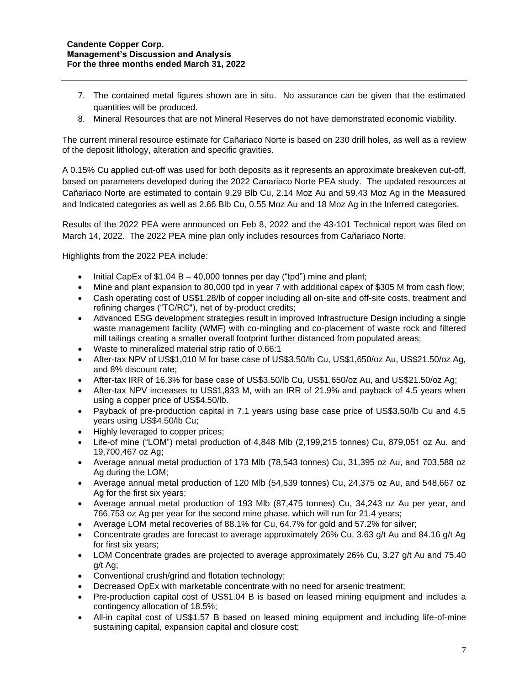- 7. The contained metal figures shown are in situ. No assurance can be given that the estimated quantities will be produced.
- 8. Mineral Resources that are not Mineral Reserves do not have demonstrated economic viability.

The current mineral resource estimate for Cañariaco Norte is based on 230 drill holes, as well as a review of the deposit lithology, alteration and specific gravities.

A 0.15% Cu applied cut-off was used for both deposits as it represents an approximate breakeven cut-off, based on parameters developed during the 2022 Canariaco Norte PEA study. The updated resources at Cañariaco Norte are estimated to contain 9.29 Blb Cu, 2.14 Moz Au and 59.43 Moz Ag in the Measured and Indicated categories as well as 2.66 Blb Cu, 0.55 Moz Au and 18 Moz Ag in the Inferred categories.

Results of the 2022 PEA were announced on Feb 8, 2022 and the 43-101 Technical report was filed on March 14, 2022. The 2022 PEA mine plan only includes resources from Cañariaco Norte.

Highlights from the 2022 PEA include:

- Initial CapEx of  $$1.04 B 40,000$  tonnes per day ("tpd") mine and plant;
- Mine and plant expansion to 80,000 tpd in year 7 with additional capex of \$305 M from cash flow;
- Cash operating cost of US\$1.28/lb of copper including all on-site and off-site costs, treatment and refining charges ("TC/RC"), net of by-product credits;
- Advanced ESG development strategies result in improved Infrastructure Design including a single waste management facility (WMF) with co-mingling and co-placement of waste rock and filtered mill tailings creating a smaller overall footprint further distanced from populated areas;
- Waste to mineralized material strip ratio of 0.66:1
- After-tax NPV of US\$1,010 M for base case of US\$3.50/lb Cu, US\$1,650/oz Au, US\$21.50/oz Ag, and 8% discount rate;
- After-tax IRR of 16.3% for base case of US\$3.50/lb Cu, US\$1,650/oz Au, and US\$21.50/oz Ag;
- After-tax NPV increases to US\$1,833 M, with an IRR of 21.9% and payback of 4.5 years when using a copper price of US\$4.50/lb.
- Payback of pre-production capital in 7.1 years using base case price of US\$3.50/lb Cu and 4.5 years using US\$4.50/lb Cu;
- Highly leveraged to copper prices;
- Life-of mine ("LOM") metal production of 4,848 Mlb (2,199,215 tonnes) Cu, 879,051 oz Au, and 19,700,467 oz Ag;
- Average annual metal production of 173 Mlb (78,543 tonnes) Cu, 31,395 oz Au, and 703,588 oz Ag during the LOM;
- Average annual metal production of 120 Mlb (54,539 tonnes) Cu, 24,375 oz Au, and 548,667 oz Ag for the first six years;
- Average annual metal production of 193 Mlb (87,475 tonnes) Cu, 34,243 oz Au per year, and 766,753 oz Ag per year for the second mine phase, which will run for 21.4 years;
- Average LOM metal recoveries of 88.1% for Cu, 64.7% for gold and 57.2% for silver;
- Concentrate grades are forecast to average approximately 26% Cu, 3.63 g/t Au and 84.16 g/t Ag for first six years;
- LOM Concentrate grades are projected to average approximately 26% Cu, 3.27 g/t Au and 75.40 g/t Ag;
- Conventional crush/grind and flotation technology;
- Decreased OpEx with marketable concentrate with no need for arsenic treatment;
- Pre-production capital cost of US\$1.04 B is based on leased mining equipment and includes a contingency allocation of 18.5%;
- All-in capital cost of US\$1.57 B based on leased mining equipment and including life-of-mine sustaining capital, expansion capital and closure cost;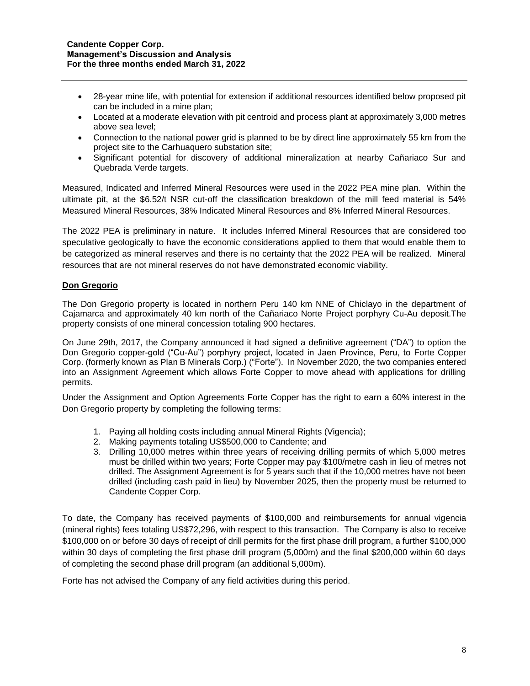- 28-year mine life, with potential for extension if additional resources identified below proposed pit can be included in a mine plan;
- Located at a moderate elevation with pit centroid and process plant at approximately 3,000 metres above sea level;
- Connection to the national power grid is planned to be by direct line approximately 55 km from the project site to the Carhuaquero substation site;
- Significant potential for discovery of additional mineralization at nearby Cañariaco Sur and Quebrada Verde targets.

Measured, Indicated and Inferred Mineral Resources were used in the 2022 PEA mine plan. Within the ultimate pit, at the \$6.52/t NSR cut-off the classification breakdown of the mill feed material is 54% Measured Mineral Resources, 38% Indicated Mineral Resources and 8% Inferred Mineral Resources.

The 2022 PEA is preliminary in nature. It includes Inferred Mineral Resources that are considered too speculative geologically to have the economic considerations applied to them that would enable them to be categorized as mineral reserves and there is no certainty that the 2022 PEA will be realized. Mineral resources that are not mineral reserves do not have demonstrated economic viability.

## **Don Gregorio**

The Don Gregorio property is located in northern Peru 140 km NNE of Chiclayo in the department of Cajamarca and approximately 40 km north of the Cañariaco Norte Project porphyry Cu-Au deposit.The property consists of one mineral concession totaling 900 hectares.

On June 29th, 2017, the Company announced it had signed a definitive agreement ("DA") to option the Don Gregorio copper-gold ("Cu-Au") porphyry project, located in Jaen Province, Peru, to Forte Copper Corp. (formerly known as Plan B Minerals Corp.) ("Forte"). In November 2020, the two companies entered into an Assignment Agreement which allows Forte Copper to move ahead with applications for drilling permits.

Under the Assignment and Option Agreements Forte Copper has the right to earn a 60% interest in the Don Gregorio property by completing the following terms:

- 1. Paying all holding costs including annual Mineral Rights (Vigencia);
- 2. Making payments totaling US\$500,000 to Candente; and
- 3. Drilling 10,000 metres within three years of receiving drilling permits of which 5,000 metres must be drilled within two years; Forte Copper may pay \$100/metre cash in lieu of metres not drilled. The Assignment Agreement is for 5 years such that if the 10,000 metres have not been drilled (including cash paid in lieu) by November 2025, then the property must be returned to Candente Copper Corp.

To date, the Company has received payments of \$100,000 and reimbursements for annual vigencia (mineral rights) fees totaling US\$72,296, with respect to this transaction. The Company is also to receive \$100,000 on or before 30 days of receipt of drill permits for the first phase drill program, a further \$100,000 within 30 days of completing the first phase drill program (5,000m) and the final \$200,000 within 60 days of completing the second phase drill program (an additional 5,000m).

Forte has not advised the Company of any field activities during this period.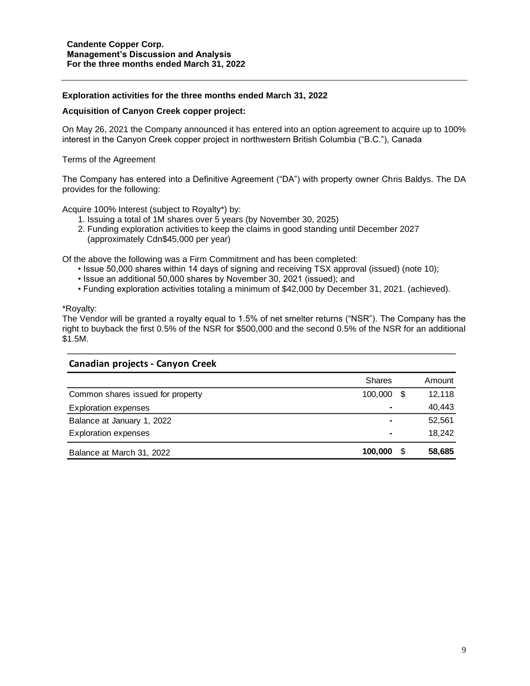#### **Exploration activities for the three months ended March 31, 2022**

#### **Acquisition of Canyon Creek copper project:**

On May 26, 2021 the Company announced it has entered into an option agreement to acquire up to 100% interest in the Canyon Creek copper project in northwestern British Columbia ("B.C."), Canada

Terms of the Agreement

The Company has entered into a Definitive Agreement ("DA") with property owner Chris Baldys. The DA provides for the following:

Acquire 100% Interest (subject to Royalty\*) by:

- 1. Issuing a total of 1M shares over 5 years (by November 30, 2025)
- 2. Funding exploration activities to keep the claims in good standing until December 2027 (approximately Cdn\$45,000 per year)

Of the above the following was a Firm Commitment and has been completed:

- Issue 50,000 shares within 14 days of signing and receiving TSX approval (issued) (note 10);
- Issue an additional 50,000 shares by November 30, 2021 (issued); and
- Funding exploration activities totaling a minimum of \$42,000 by December 31, 2021. (achieved).

\*Royalty:

The Vendor will be granted a royalty equal to 1.5% of net smelter returns ("NSR"). The Company has the right to buyback the first 0.5% of the NSR for \$500,000 and the second 0.5% of the NSR for an additional \$1.5M.

| Canadian projects - Canyon Creek  |               |   |        |
|-----------------------------------|---------------|---|--------|
|                                   | <b>Shares</b> |   | Amount |
| Common shares issued for property | 100,000       | S | 12,118 |
| <b>Exploration expenses</b>       |               |   | 40,443 |
| Balance at January 1, 2022        |               |   | 52,561 |
| <b>Exploration expenses</b>       | ۰             |   | 18,242 |
| Balance at March 31, 2022         | 100.000       | S | 58,685 |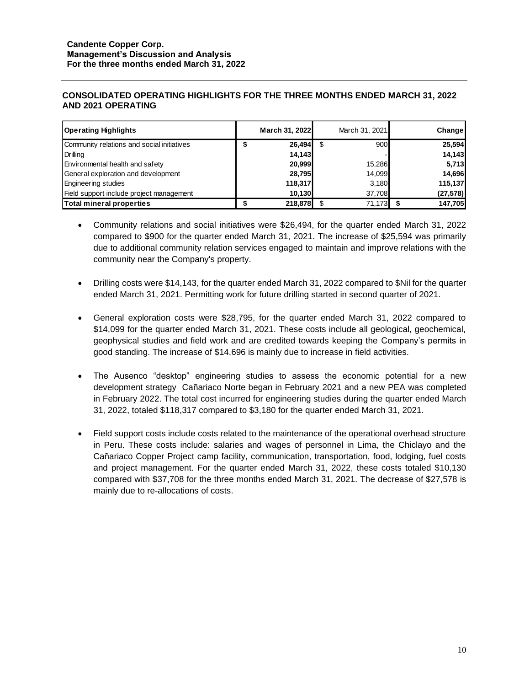## **CONSOLIDATED OPERATING HIGHLIGHTS FOR THE THREE MONTHS ENDED MARCH 31, 2022 AND 2021 OPERATING**

| <b>Operating Highlights</b>                | March 31, 2022 |      | March 31, 2021 | Change    |
|--------------------------------------------|----------------|------|----------------|-----------|
| Community relations and social initiatives | 26,494         | - \$ | 900            | 25,594    |
| Drilling                                   | 14,143         |      |                | 14,143    |
| Environmental health and safety            | 20,999         |      | 15,286         | 5,713     |
| General exploration and development        | 28,795         |      | 14,099         | 14,696    |
| <b>Engineering studies</b>                 | 118,317        |      | 3.180          | 115,137   |
| Field support include project management   | 10,130         |      | 37.708         | (27, 578) |
| Total mineral properties                   | 218,878        |      | 71,173         | 147,705   |

- Community relations and social initiatives were \$26,494, for the quarter ended March 31, 2022 compared to \$900 for the quarter ended March 31, 2021. The increase of \$25,594 was primarily due to additional community relation services engaged to maintain and improve relations with the community near the Company's property.
- Drilling costs were \$14,143, for the quarter ended March 31, 2022 compared to \$Nil for the quarter ended March 31, 2021. Permitting work for future drilling started in second quarter of 2021.
- General exploration costs were \$28,795, for the quarter ended March 31, 2022 compared to \$14,099 for the quarter ended March 31, 2021. These costs include all geological, geochemical, geophysical studies and field work and are credited towards keeping the Company's permits in good standing. The increase of \$14,696 is mainly due to increase in field activities.
- The Ausenco "desktop" engineering studies to assess the economic potential for a new development strategy Cañariaco Norte began in February 2021 and a new PEA was completed in February 2022. The total cost incurred for engineering studies during the quarter ended March 31, 2022, totaled \$118,317 compared to \$3,180 for the quarter ended March 31, 2021.
- Field support costs include costs related to the maintenance of the operational overhead structure in Peru. These costs include: salaries and wages of personnel in Lima, the Chiclayo and the Cañariaco Copper Project camp facility, communication, transportation, food, lodging, fuel costs and project management. For the quarter ended March 31, 2022, these costs totaled \$10,130 compared with \$37,708 for the three months ended March 31, 2021. The decrease of \$27,578 is mainly due to re-allocations of costs.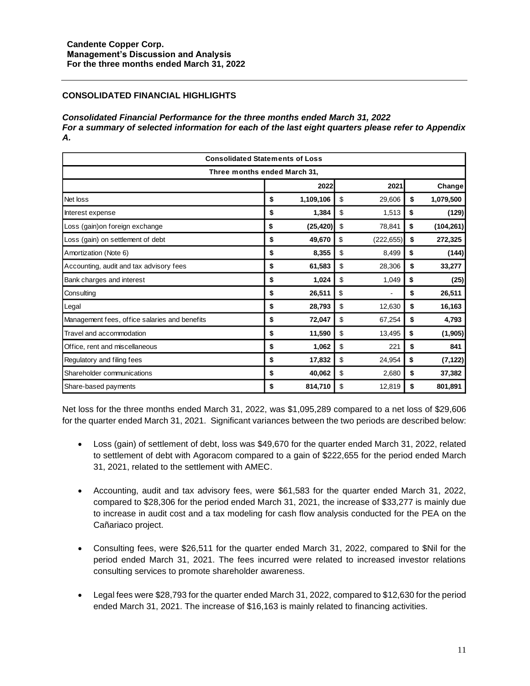# **CONSOLIDATED FINANCIAL HIGHLIGHTS**

#### *Consolidated Financial Performance for the three months ended March 31, 2022 For a summary of selected information for each of the last eight quarters please refer to Appendix A.*

| <b>Consolidated Statements of Loss</b>        |    |           |    |            |    |            |  |  |  |  |
|-----------------------------------------------|----|-----------|----|------------|----|------------|--|--|--|--|
| Three months ended March 31.                  |    |           |    |            |    |            |  |  |  |  |
| 2022<br>2021<br>Change                        |    |           |    |            |    |            |  |  |  |  |
| Net loss                                      | \$ | 1,109,106 | \$ | 29,606     | \$ | 1,079,500  |  |  |  |  |
| Interest expense                              | \$ | 1,384     | \$ | 1,513      | \$ | (129)      |  |  |  |  |
| Loss (gain) on foreign exchange               | \$ | (25, 420) | \$ | 78,841     | \$ | (104, 261) |  |  |  |  |
| Loss (gain) on settlement of debt             | \$ | 49,670    | \$ | (222, 655) | \$ | 272,325    |  |  |  |  |
| Amortization (Note 6)                         | \$ | 8,355     | \$ | 8,499      | \$ | (144)      |  |  |  |  |
| Accounting, audit and tax advisory fees       | \$ | 61,583    | \$ | 28,306     | \$ | 33,277     |  |  |  |  |
| Bank charges and interest                     | \$ | 1,024     | \$ | 1,049      | \$ | (25)       |  |  |  |  |
| Consulting                                    | \$ | 26,511    | \$ |            | \$ | 26,511     |  |  |  |  |
| Legal                                         | \$ | 28,793    | \$ | 12,630     | \$ | 16,163     |  |  |  |  |
| Management fees, office salaries and benefits | \$ | 72,047    | \$ | 67,254     | \$ | 4,793      |  |  |  |  |
| Travel and accommodation                      | \$ | 11,590    | \$ | 13,495     | \$ | (1,905)    |  |  |  |  |
| Office, rent and miscellaneous                | \$ | 1,062     | \$ | 221        | \$ | 841        |  |  |  |  |
| Regulatory and filing fees                    | \$ | 17,832    | \$ | 24,954     | \$ | (7, 122)   |  |  |  |  |
| Shareholder communications                    | \$ | 40,062    | \$ | 2,680      | \$ | 37,382     |  |  |  |  |
| Share-based payments                          | \$ | 814,710   | \$ | 12,819     | \$ | 801,891    |  |  |  |  |

Net loss for the three months ended March 31, 2022, was \$1,095,289 compared to a net loss of \$29,606 for the quarter ended March 31, 2021. Significant variances between the two periods are described below:

- Loss (gain) of settlement of debt, loss was \$49,670 for the quarter ended March 31, 2022, related to settlement of debt with Agoracom compared to a gain of \$222,655 for the period ended March 31, 2021, related to the settlement with AMEC.
- Accounting, audit and tax advisory fees, were \$61,583 for the quarter ended March 31, 2022, compared to \$28,306 for the period ended March 31, 2021, the increase of \$33,277 is mainly due to increase in audit cost and a tax modeling for cash flow analysis conducted for the PEA on the Cañariaco project.
- Consulting fees, were \$26,511 for the quarter ended March 31, 2022, compared to \$Nil for the period ended March 31, 2021. The fees incurred were related to increased investor relations consulting services to promote shareholder awareness.
- Legal fees were \$28,793 for the quarter ended March 31, 2022, compared to \$12,630 for the period ended March 31, 2021. The increase of \$16,163 is mainly related to financing activities.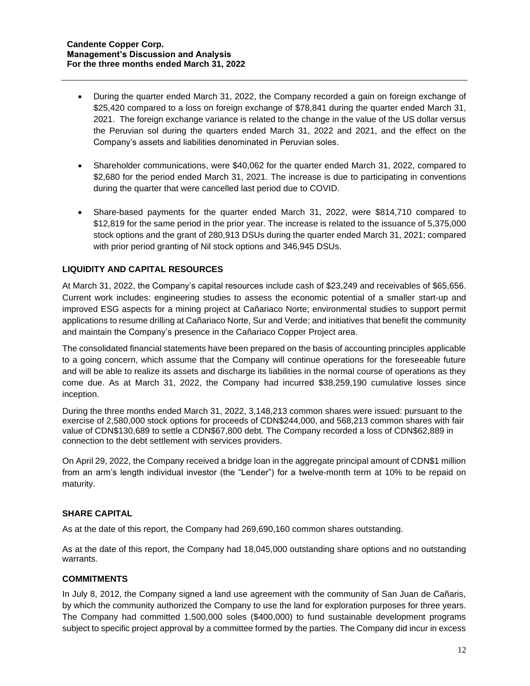- During the quarter ended March 31, 2022, the Company recorded a gain on foreign exchange of \$25,420 compared to a loss on foreign exchange of \$78,841 during the quarter ended March 31, 2021. The foreign exchange variance is related to the change in the value of the US dollar versus the Peruvian sol during the quarters ended March 31, 2022 and 2021, and the effect on the Company's assets and liabilities denominated in Peruvian soles.
- Shareholder communications, were \$40,062 for the quarter ended March 31, 2022, compared to \$2,680 for the period ended March 31, 2021. The increase is due to participating in conventions during the quarter that were cancelled last period due to COVID.
- Share-based payments for the quarter ended March 31, 2022, were \$814,710 compared to \$12,819 for the same period in the prior year. The increase is related to the issuance of 5,375,000 stock options and the grant of 280,913 DSUs during the quarter ended March 31, 2021; compared with prior period granting of Nil stock options and 346,945 DSUs.

## **LIQUIDITY AND CAPITAL RESOURCES**

At March 31, 2022, the Company's capital resources include cash of \$23,249 and receivables of \$65,656. Current work includes: engineering studies to assess the economic potential of a smaller start-up and improved ESG aspects for a mining project at Cañariaco Norte; environmental studies to support permit applications to resume drilling at Cañariaco Norte, Sur and Verde; and initiatives that benefit the community and maintain the Company's presence in the Cañariaco Copper Project area.

The consolidated financial statements have been prepared on the basis of accounting principles applicable to a going concern, which assume that the Company will continue operations for the foreseeable future and will be able to realize its assets and discharge its liabilities in the normal course of operations as they come due. As at March 31, 2022, the Company had incurred \$38,259,190 cumulative losses since inception.

During the three months ended March 31, 2022, 3,148,213 common shares were issued: pursuant to the exercise of 2,580,000 stock options for proceeds of CDN\$244,000, and 568,213 common shares with fair value of CDN\$130,689 to settle a CDN\$67,800 debt. The Company recorded a loss of CDN\$62,889 in connection to the debt settlement with services providers.

On April 29, 2022, the Company received a bridge loan in the aggregate principal amount of CDN\$1 million from an arm's length individual investor (the "Lender") for a twelve-month term at 10% to be repaid on maturity.

#### **SHARE CAPITAL**

As at the date of this report, the Company had 269,690,160 common shares outstanding.

As at the date of this report, the Company had 18,045,000 outstanding share options and no outstanding warrants.

## **COMMITMENTS**

In July 8, 2012, the Company signed a land use agreement with the community of San Juan de Cañaris, by which the community authorized the Company to use the land for exploration purposes for three years. The Company had committed 1,500,000 soles (\$400,000) to fund sustainable development programs subject to specific project approval by a committee formed by the parties. The Company did incur in excess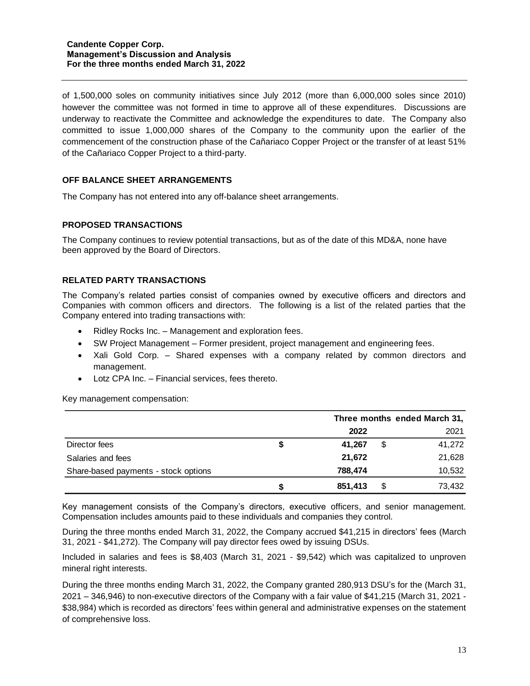of 1,500,000 soles on community initiatives since July 2012 (more than 6,000,000 soles since 2010) however the committee was not formed in time to approve all of these expenditures. Discussions are underway to reactivate the Committee and acknowledge the expenditures to date. The Company also committed to issue 1,000,000 shares of the Company to the community upon the earlier of the commencement of the construction phase of the Cañariaco Copper Project or the transfer of at least 51% of the Cañariaco Copper Project to a third-party.

## **OFF BALANCE SHEET ARRANGEMENTS**

The Company has not entered into any off-balance sheet arrangements.

#### **PROPOSED TRANSACTIONS**

The Company continues to review potential transactions, but as of the date of this MD&A, none have been approved by the Board of Directors.

#### **RELATED PARTY TRANSACTIONS**

The Company's related parties consist of companies owned by executive officers and directors and Companies with common officers and directors. The following is a list of the related parties that the Company entered into trading transactions with:

- Ridley Rocks Inc. Management and exploration fees.
- SW Project Management Former president, project management and engineering fees.
- Xali Gold Corp. Shared expenses with a company related by common directors and management.
- Lotz CPA Inc. Financial services, fees thereto.

Key management compensation:

|                                      |    |         | Three months ended March 31, |        |  |  |  |
|--------------------------------------|----|---------|------------------------------|--------|--|--|--|
|                                      |    | 2022    |                              | 2021   |  |  |  |
| Director fees                        | \$ | 41,267  | \$                           | 41,272 |  |  |  |
| Salaries and fees                    |    | 21,672  |                              | 21,628 |  |  |  |
| Share-based payments - stock options |    | 788,474 |                              | 10,532 |  |  |  |
|                                      | S  | 851,413 | S                            | 73,432 |  |  |  |

Key management consists of the Company's directors, executive officers, and senior management. Compensation includes amounts paid to these individuals and companies they control.

During the three months ended March 31, 2022, the Company accrued \$41,215 in directors' fees (March 31, 2021 - \$41,272). The Company will pay director fees owed by issuing DSUs.

Included in salaries and fees is \$8,403 (March 31, 2021 - \$9,542) which was capitalized to unproven mineral right interests.

During the three months ending March 31, 2022, the Company granted 280,913 DSU's for the (March 31, 2021 – 346,946) to non-executive directors of the Company with a fair value of \$41,215 (March 31, 2021 - \$38,984) which is recorded as directors' fees within general and administrative expenses on the statement of comprehensive loss.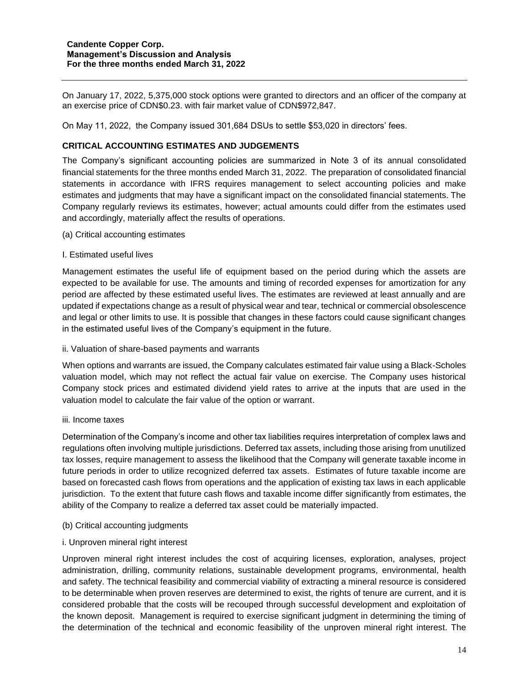On January 17, 2022, 5,375,000 stock options were granted to directors and an officer of the company at an exercise price of CDN\$0.23. with fair market value of CDN\$972,847.

On May 11, 2022, the Company issued 301,684 DSUs to settle \$53,020 in directors' fees.

## **CRITICAL ACCOUNTING ESTIMATES AND JUDGEMENTS**

The Company's significant accounting policies are summarized in Note 3 of its annual consolidated financial statements for the three months ended March 31, 2022. The preparation of consolidated financial statements in accordance with IFRS requires management to select accounting policies and make estimates and judgments that may have a significant impact on the consolidated financial statements. The Company regularly reviews its estimates, however; actual amounts could differ from the estimates used and accordingly, materially affect the results of operations.

- (a) Critical accounting estimates
- I. Estimated useful lives

Management estimates the useful life of equipment based on the period during which the assets are expected to be available for use. The amounts and timing of recorded expenses for amortization for any period are affected by these estimated useful lives. The estimates are reviewed at least annually and are updated if expectations change as a result of physical wear and tear, technical or commercial obsolescence and legal or other limits to use. It is possible that changes in these factors could cause significant changes in the estimated useful lives of the Company's equipment in the future.

ii. Valuation of share-based payments and warrants

When options and warrants are issued, the Company calculates estimated fair value using a Black-Scholes valuation model, which may not reflect the actual fair value on exercise. The Company uses historical Company stock prices and estimated dividend yield rates to arrive at the inputs that are used in the valuation model to calculate the fair value of the option or warrant.

iii. Income taxes

Determination of the Company's income and other tax liabilities requires interpretation of complex laws and regulations often involving multiple jurisdictions. Deferred tax assets, including those arising from unutilized tax losses, require management to assess the likelihood that the Company will generate taxable income in future periods in order to utilize recognized deferred tax assets. Estimates of future taxable income are based on forecasted cash flows from operations and the application of existing tax laws in each applicable jurisdiction. To the extent that future cash flows and taxable income differ significantly from estimates, the ability of the Company to realize a deferred tax asset could be materially impacted.

- (b) Critical accounting judgments
- i. Unproven mineral right interest

Unproven mineral right interest includes the cost of acquiring licenses, exploration, analyses, project administration, drilling, community relations, sustainable development programs, environmental, health and safety. The technical feasibility and commercial viability of extracting a mineral resource is considered to be determinable when proven reserves are determined to exist, the rights of tenure are current, and it is considered probable that the costs will be recouped through successful development and exploitation of the known deposit. Management is required to exercise significant judgment in determining the timing of the determination of the technical and economic feasibility of the unproven mineral right interest. The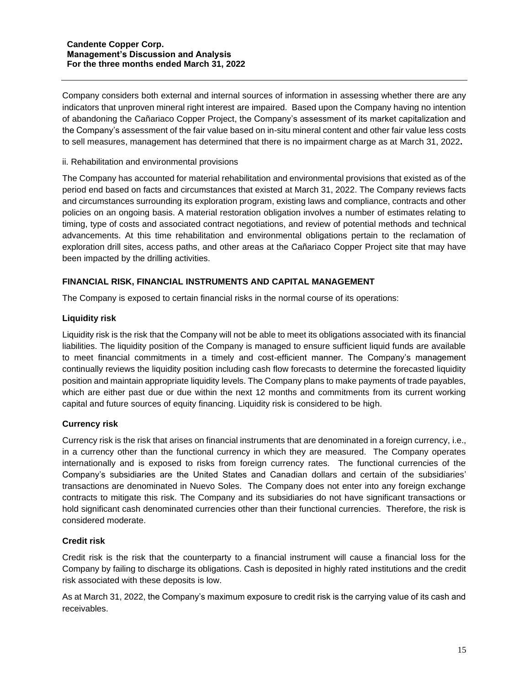Company considers both external and internal sources of information in assessing whether there are any indicators that unproven mineral right interest are impaired. Based upon the Company having no intention of abandoning the Cañariaco Copper Project, the Company's assessment of its market capitalization and the Company's assessment of the fair value based on in-situ mineral content and other fair value less costs to sell measures, management has determined that there is no impairment charge as at March 31, 2022**.**

#### ii. Rehabilitation and environmental provisions

The Company has accounted for material rehabilitation and environmental provisions that existed as of the period end based on facts and circumstances that existed at March 31, 2022. The Company reviews facts and circumstances surrounding its exploration program, existing laws and compliance, contracts and other policies on an ongoing basis. A material restoration obligation involves a number of estimates relating to timing, type of costs and associated contract negotiations, and review of potential methods and technical advancements. At this time rehabilitation and environmental obligations pertain to the reclamation of exploration drill sites, access paths, and other areas at the Cañariaco Copper Project site that may have been impacted by the drilling activities.

## **FINANCIAL RISK, FINANCIAL INSTRUMENTS AND CAPITAL MANAGEMENT**

The Company is exposed to certain financial risks in the normal course of its operations:

#### **Liquidity risk**

Liquidity risk is the risk that the Company will not be able to meet its obligations associated with its financial liabilities. The liquidity position of the Company is managed to ensure sufficient liquid funds are available to meet financial commitments in a timely and cost-efficient manner. The Company's management continually reviews the liquidity position including cash flow forecasts to determine the forecasted liquidity position and maintain appropriate liquidity levels. The Company plans to make payments of trade payables, which are either past due or due within the next 12 months and commitments from its current working capital and future sources of equity financing. Liquidity risk is considered to be high.

## **Currency risk**

Currency risk is the risk that arises on financial instruments that are denominated in a foreign currency, i.e., in a currency other than the functional currency in which they are measured. The Company operates internationally and is exposed to risks from foreign currency rates. The functional currencies of the Company's subsidiaries are the United States and Canadian dollars and certain of the subsidiaries' transactions are denominated in Nuevo Soles. The Company does not enter into any foreign exchange contracts to mitigate this risk. The Company and its subsidiaries do not have significant transactions or hold significant cash denominated currencies other than their functional currencies. Therefore, the risk is considered moderate.

#### **Credit risk**

Credit risk is the risk that the counterparty to a financial instrument will cause a financial loss for the Company by failing to discharge its obligations. Cash is deposited in highly rated institutions and the credit risk associated with these deposits is low.

As at March 31, 2022, the Company's maximum exposure to credit risk is the carrying value of its cash and receivables.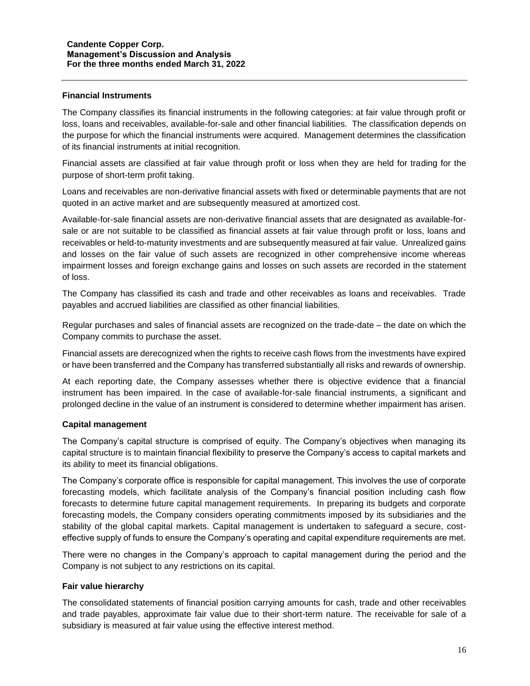#### **Financial Instruments**

The Company classifies its financial instruments in the following categories: at fair value through profit or loss, loans and receivables, available-for-sale and other financial liabilities. The classification depends on the purpose for which the financial instruments were acquired. Management determines the classification of its financial instruments at initial recognition.

Financial assets are classified at fair value through profit or loss when they are held for trading for the purpose of short-term profit taking.

Loans and receivables are non-derivative financial assets with fixed or determinable payments that are not quoted in an active market and are subsequently measured at amortized cost.

Available-for-sale financial assets are non-derivative financial assets that are designated as available-forsale or are not suitable to be classified as financial assets at fair value through profit or loss, loans and receivables or held-to-maturity investments and are subsequently measured at fair value. Unrealized gains and losses on the fair value of such assets are recognized in other comprehensive income whereas impairment losses and foreign exchange gains and losses on such assets are recorded in the statement of loss.

The Company has classified its cash and trade and other receivables as loans and receivables. Trade payables and accrued liabilities are classified as other financial liabilities.

Regular purchases and sales of financial assets are recognized on the trade-date – the date on which the Company commits to purchase the asset.

Financial assets are derecognized when the rights to receive cash flows from the investments have expired or have been transferred and the Company has transferred substantially all risks and rewards of ownership.

At each reporting date, the Company assesses whether there is objective evidence that a financial instrument has been impaired. In the case of available-for-sale financial instruments, a significant and prolonged decline in the value of an instrument is considered to determine whether impairment has arisen.

## **Capital management**

The Company's capital structure is comprised of equity. The Company's objectives when managing its capital structure is to maintain financial flexibility to preserve the Company's access to capital markets and its ability to meet its financial obligations.

The Company's corporate office is responsible for capital management. This involves the use of corporate forecasting models, which facilitate analysis of the Company's financial position including cash flow forecasts to determine future capital management requirements. In preparing its budgets and corporate forecasting models, the Company considers operating commitments imposed by its subsidiaries and the stability of the global capital markets. Capital management is undertaken to safeguard a secure, costeffective supply of funds to ensure the Company's operating and capital expenditure requirements are met.

There were no changes in the Company's approach to capital management during the period and the Company is not subject to any restrictions on its capital.

#### **Fair value hierarchy**

The consolidated statements of financial position carrying amounts for cash, trade and other receivables and trade payables, approximate fair value due to their short-term nature. The receivable for sale of a subsidiary is measured at fair value using the effective interest method.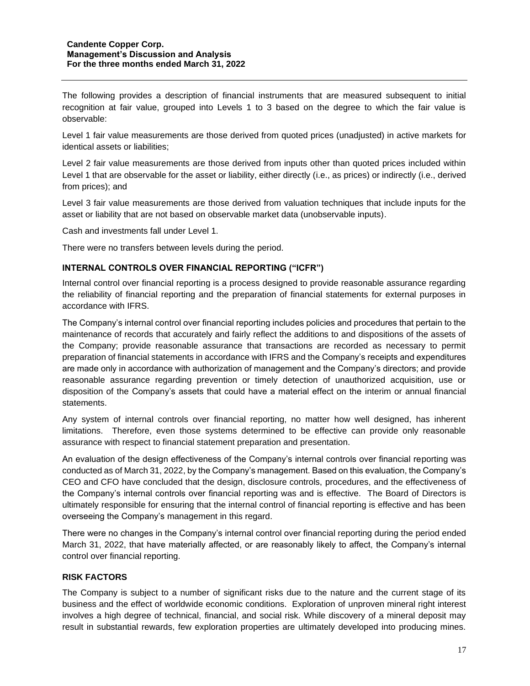The following provides a description of financial instruments that are measured subsequent to initial recognition at fair value, grouped into Levels 1 to 3 based on the degree to which the fair value is observable:

Level 1 fair value measurements are those derived from quoted prices (unadjusted) in active markets for identical assets or liabilities;

Level 2 fair value measurements are those derived from inputs other than quoted prices included within Level 1 that are observable for the asset or liability, either directly (i.e., as prices) or indirectly (i.e., derived from prices); and

Level 3 fair value measurements are those derived from valuation techniques that include inputs for the asset or liability that are not based on observable market data (unobservable inputs).

Cash and investments fall under Level 1.

There were no transfers between levels during the period.

#### **INTERNAL CONTROLS OVER FINANCIAL REPORTING ("ICFR")**

Internal control over financial reporting is a process designed to provide reasonable assurance regarding the reliability of financial reporting and the preparation of financial statements for external purposes in accordance with IFRS.

The Company's internal control over financial reporting includes policies and procedures that pertain to the maintenance of records that accurately and fairly reflect the additions to and dispositions of the assets of the Company; provide reasonable assurance that transactions are recorded as necessary to permit preparation of financial statements in accordance with IFRS and the Company's receipts and expenditures are made only in accordance with authorization of management and the Company's directors; and provide reasonable assurance regarding prevention or timely detection of unauthorized acquisition, use or disposition of the Company's assets that could have a material effect on the interim or annual financial statements.

Any system of internal controls over financial reporting, no matter how well designed, has inherent limitations. Therefore, even those systems determined to be effective can provide only reasonable assurance with respect to financial statement preparation and presentation.

An evaluation of the design effectiveness of the Company's internal controls over financial reporting was conducted as of March 31, 2022, by the Company's management. Based on this evaluation, the Company's CEO and CFO have concluded that the design, disclosure controls, procedures, and the effectiveness of the Company's internal controls over financial reporting was and is effective. The Board of Directors is ultimately responsible for ensuring that the internal control of financial reporting is effective and has been overseeing the Company's management in this regard.

There were no changes in the Company's internal control over financial reporting during the period ended March 31, 2022, that have materially affected, or are reasonably likely to affect, the Company's internal control over financial reporting.

#### **RISK FACTORS**

The Company is subject to a number of significant risks due to the nature and the current stage of its business and the effect of worldwide economic conditions. Exploration of unproven mineral right interest involves a high degree of technical, financial, and social risk. While discovery of a mineral deposit may result in substantial rewards, few exploration properties are ultimately developed into producing mines.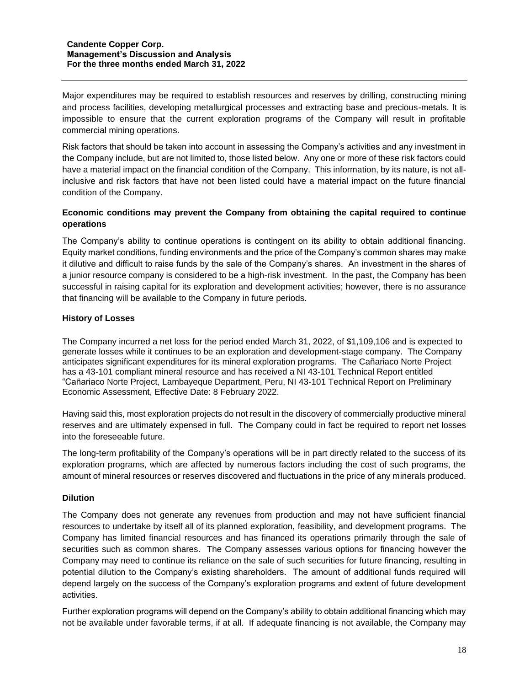Major expenditures may be required to establish resources and reserves by drilling, constructing mining and process facilities, developing metallurgical processes and extracting base and precious-metals. It is impossible to ensure that the current exploration programs of the Company will result in profitable commercial mining operations.

Risk factors that should be taken into account in assessing the Company's activities and any investment in the Company include, but are not limited to, those listed below. Any one or more of these risk factors could have a material impact on the financial condition of the Company. This information, by its nature, is not allinclusive and risk factors that have not been listed could have a material impact on the future financial condition of the Company.

# **Economic conditions may prevent the Company from obtaining the capital required to continue operations**

The Company's ability to continue operations is contingent on its ability to obtain additional financing. Equity market conditions, funding environments and the price of the Company's common shares may make it dilutive and difficult to raise funds by the sale of the Company's shares. An investment in the shares of a junior resource company is considered to be a high-risk investment. In the past, the Company has been successful in raising capital for its exploration and development activities; however, there is no assurance that financing will be available to the Company in future periods.

#### **History of Losses**

The Company incurred a net loss for the period ended March 31, 2022, of \$1,109,106 and is expected to generate losses while it continues to be an exploration and development-stage company. The Company anticipates significant expenditures for its mineral exploration programs. The Cañariaco Norte Project has a 43-101 compliant mineral resource and has received a NI 43-101 Technical Report entitled "Cañariaco Norte Project, Lambayeque Department, Peru, NI 43-101 Technical Report on Preliminary Economic Assessment, Effective Date: 8 February 2022.

Having said this, most exploration projects do not result in the discovery of commercially productive mineral reserves and are ultimately expensed in full. The Company could in fact be required to report net losses into the foreseeable future.

The long-term profitability of the Company's operations will be in part directly related to the success of its exploration programs, which are affected by numerous factors including the cost of such programs, the amount of mineral resources or reserves discovered and fluctuations in the price of any minerals produced.

## **Dilution**

The Company does not generate any revenues from production and may not have sufficient financial resources to undertake by itself all of its planned exploration, feasibility, and development programs. The Company has limited financial resources and has financed its operations primarily through the sale of securities such as common shares. The Company assesses various options for financing however the Company may need to continue its reliance on the sale of such securities for future financing, resulting in potential dilution to the Company's existing shareholders. The amount of additional funds required will depend largely on the success of the Company's exploration programs and extent of future development activities.

Further exploration programs will depend on the Company's ability to obtain additional financing which may not be available under favorable terms, if at all. If adequate financing is not available, the Company may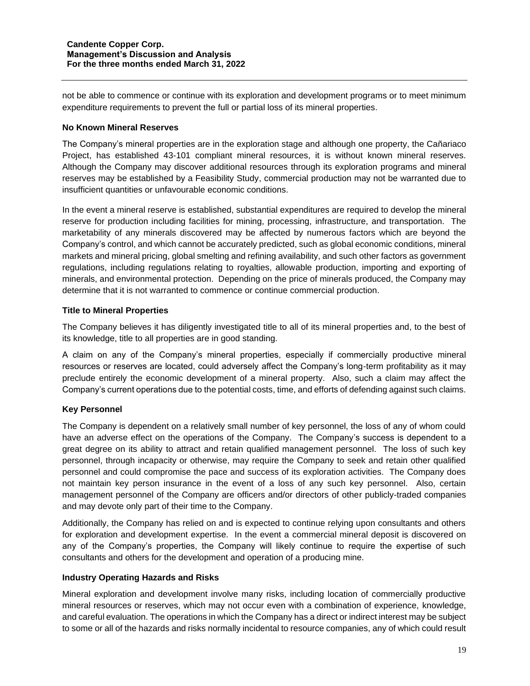not be able to commence or continue with its exploration and development programs or to meet minimum expenditure requirements to prevent the full or partial loss of its mineral properties.

## **No Known Mineral Reserves**

The Company's mineral properties are in the exploration stage and although one property, the Cañariaco Project, has established 43-101 compliant mineral resources, it is without known mineral reserves. Although the Company may discover additional resources through its exploration programs and mineral reserves may be established by a Feasibility Study, commercial production may not be warranted due to insufficient quantities or unfavourable economic conditions.

In the event a mineral reserve is established, substantial expenditures are required to develop the mineral reserve for production including facilities for mining, processing, infrastructure, and transportation. The marketability of any minerals discovered may be affected by numerous factors which are beyond the Company's control, and which cannot be accurately predicted, such as global economic conditions, mineral markets and mineral pricing, global smelting and refining availability, and such other factors as government regulations, including regulations relating to royalties, allowable production, importing and exporting of minerals, and environmental protection. Depending on the price of minerals produced, the Company may determine that it is not warranted to commence or continue commercial production.

## **Title to Mineral Properties**

The Company believes it has diligently investigated title to all of its mineral properties and, to the best of its knowledge, title to all properties are in good standing.

A claim on any of the Company's mineral properties, especially if commercially productive mineral resources or reserves are located, could adversely affect the Company's long-term profitability as it may preclude entirely the economic development of a mineral property. Also, such a claim may affect the Company's current operations due to the potential costs, time, and efforts of defending against such claims.

## **Key Personnel**

The Company is dependent on a relatively small number of key personnel, the loss of any of whom could have an adverse effect on the operations of the Company. The Company's success is dependent to a great degree on its ability to attract and retain qualified management personnel. The loss of such key personnel, through incapacity or otherwise, may require the Company to seek and retain other qualified personnel and could compromise the pace and success of its exploration activities. The Company does not maintain key person insurance in the event of a loss of any such key personnel. Also, certain management personnel of the Company are officers and/or directors of other publicly-traded companies and may devote only part of their time to the Company.

Additionally, the Company has relied on and is expected to continue relying upon consultants and others for exploration and development expertise. In the event a commercial mineral deposit is discovered on any of the Company's properties, the Company will likely continue to require the expertise of such consultants and others for the development and operation of a producing mine.

#### **Industry Operating Hazards and Risks**

Mineral exploration and development involve many risks, including location of commercially productive mineral resources or reserves, which may not occur even with a combination of experience, knowledge, and careful evaluation. The operations in which the Company has a direct or indirect interest may be subject to some or all of the hazards and risks normally incidental to resource companies, any of which could result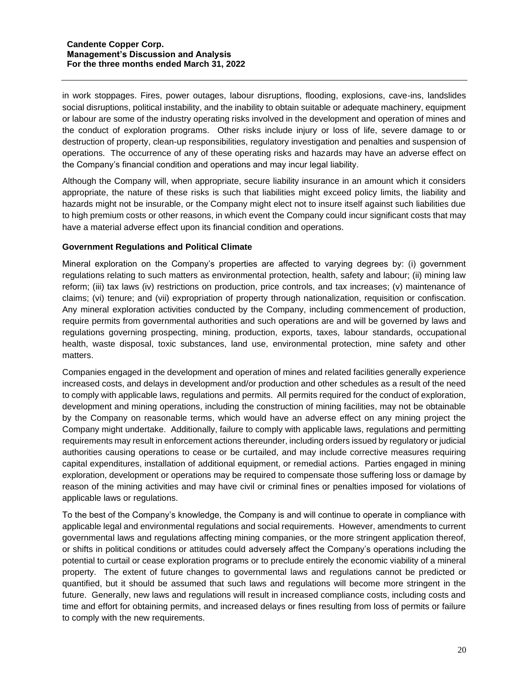in work stoppages. Fires, power outages, labour disruptions, flooding, explosions, cave-ins, landslides social disruptions, political instability, and the inability to obtain suitable or adequate machinery, equipment or labour are some of the industry operating risks involved in the development and operation of mines and the conduct of exploration programs. Other risks include injury or loss of life, severe damage to or destruction of property, clean-up responsibilities, regulatory investigation and penalties and suspension of operations. The occurrence of any of these operating risks and hazards may have an adverse effect on the Company's financial condition and operations and may incur legal liability.

Although the Company will, when appropriate, secure liability insurance in an amount which it considers appropriate, the nature of these risks is such that liabilities might exceed policy limits, the liability and hazards might not be insurable, or the Company might elect not to insure itself against such liabilities due to high premium costs or other reasons, in which event the Company could incur significant costs that may have a material adverse effect upon its financial condition and operations.

#### **Government Regulations and Political Climate**

Mineral exploration on the Company's properties are affected to varying degrees by: (i) government regulations relating to such matters as environmental protection, health, safety and labour; (ii) mining law reform; (iii) tax laws (iv) restrictions on production, price controls, and tax increases; (v) maintenance of claims; (vi) tenure; and (vii) expropriation of property through nationalization, requisition or confiscation. Any mineral exploration activities conducted by the Company, including commencement of production, require permits from governmental authorities and such operations are and will be governed by laws and regulations governing prospecting, mining, production, exports, taxes, labour standards, occupational health, waste disposal, toxic substances, land use, environmental protection, mine safety and other matters.

Companies engaged in the development and operation of mines and related facilities generally experience increased costs, and delays in development and/or production and other schedules as a result of the need to comply with applicable laws, regulations and permits. All permits required for the conduct of exploration, development and mining operations, including the construction of mining facilities, may not be obtainable by the Company on reasonable terms, which would have an adverse effect on any mining project the Company might undertake. Additionally, failure to comply with applicable laws, regulations and permitting requirements may result in enforcement actions thereunder, including orders issued by regulatory or judicial authorities causing operations to cease or be curtailed, and may include corrective measures requiring capital expenditures, installation of additional equipment, or remedial actions. Parties engaged in mining exploration, development or operations may be required to compensate those suffering loss or damage by reason of the mining activities and may have civil or criminal fines or penalties imposed for violations of applicable laws or regulations.

To the best of the Company's knowledge, the Company is and will continue to operate in compliance with applicable legal and environmental regulations and social requirements. However, amendments to current governmental laws and regulations affecting mining companies, or the more stringent application thereof, or shifts in political conditions or attitudes could adversely affect the Company's operations including the potential to curtail or cease exploration programs or to preclude entirely the economic viability of a mineral property. The extent of future changes to governmental laws and regulations cannot be predicted or quantified, but it should be assumed that such laws and regulations will become more stringent in the future. Generally, new laws and regulations will result in increased compliance costs, including costs and time and effort for obtaining permits, and increased delays or fines resulting from loss of permits or failure to comply with the new requirements.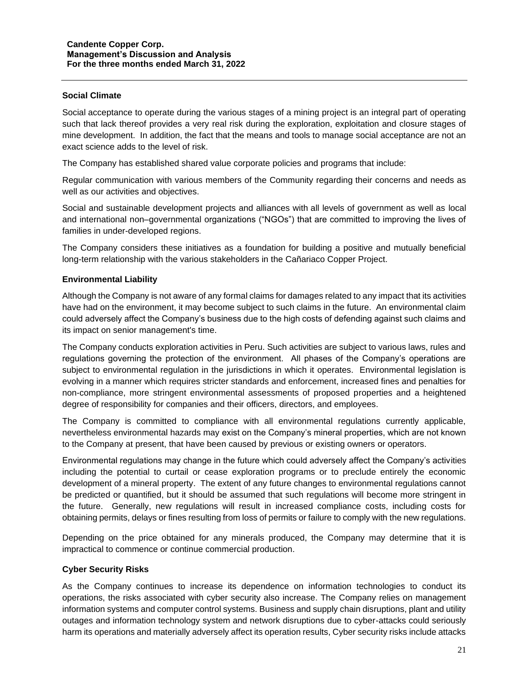#### **Social Climate**

Social acceptance to operate during the various stages of a mining project is an integral part of operating such that lack thereof provides a very real risk during the exploration, exploitation and closure stages of mine development. In addition, the fact that the means and tools to manage social acceptance are not an exact science adds to the level of risk.

The Company has established shared value corporate policies and programs that include:

Regular communication with various members of the Community regarding their concerns and needs as well as our activities and objectives.

Social and sustainable development projects and alliances with all levels of government as well as local and international non–governmental organizations ("NGOs") that are committed to improving the lives of families in under-developed regions.

The Company considers these initiatives as a foundation for building a positive and mutually beneficial long-term relationship with the various stakeholders in the Cañariaco Copper Project.

#### **Environmental Liability**

Although the Company is not aware of any formal claims for damages related to any impact that its activities have had on the environment, it may become subject to such claims in the future. An environmental claim could adversely affect the Company's business due to the high costs of defending against such claims and its impact on senior management's time.

The Company conducts exploration activities in Peru. Such activities are subject to various laws, rules and regulations governing the protection of the environment. All phases of the Company's operations are subject to environmental regulation in the jurisdictions in which it operates. Environmental legislation is evolving in a manner which requires stricter standards and enforcement, increased fines and penalties for non-compliance, more stringent environmental assessments of proposed properties and a heightened degree of responsibility for companies and their officers, directors, and employees.

The Company is committed to compliance with all environmental regulations currently applicable, nevertheless environmental hazards may exist on the Company's mineral properties, which are not known to the Company at present, that have been caused by previous or existing owners or operators.

Environmental regulations may change in the future which could adversely affect the Company's activities including the potential to curtail or cease exploration programs or to preclude entirely the economic development of a mineral property. The extent of any future changes to environmental regulations cannot be predicted or quantified, but it should be assumed that such regulations will become more stringent in the future. Generally, new regulations will result in increased compliance costs, including costs for obtaining permits, delays or fines resulting from loss of permits or failure to comply with the new regulations.

Depending on the price obtained for any minerals produced, the Company may determine that it is impractical to commence or continue commercial production.

#### **Cyber Security Risks**

As the Company continues to increase its dependence on information technologies to conduct its operations, the risks associated with cyber security also increase. The Company relies on management information systems and computer control systems. Business and supply chain disruptions, plant and utility outages and information technology system and network disruptions due to cyber-attacks could seriously harm its operations and materially adversely affect its operation results, Cyber security risks include attacks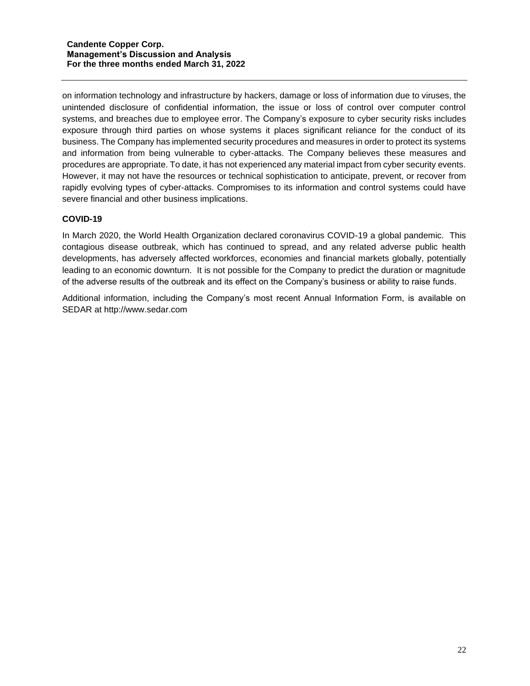on information technology and infrastructure by hackers, damage or loss of information due to viruses, the unintended disclosure of confidential information, the issue or loss of control over computer control systems, and breaches due to employee error. The Company's exposure to cyber security risks includes exposure through third parties on whose systems it places significant reliance for the conduct of its business. The Company has implemented security procedures and measures in order to protect its systems and information from being vulnerable to cyber-attacks. The Company believes these measures and procedures are appropriate. To date, it has not experienced any material impact from cyber security events. However, it may not have the resources or technical sophistication to anticipate, prevent, or recover from rapidly evolving types of cyber-attacks. Compromises to its information and control systems could have severe financial and other business implications.

## **COVID-19**

In March 2020, the World Health Organization declared coronavirus COVID-19 a global pandemic. This contagious disease outbreak, which has continued to spread, and any related adverse public health developments, has adversely affected workforces, economies and financial markets globally, potentially leading to an economic downturn. It is not possible for the Company to predict the duration or magnitude of the adverse results of the outbreak and its effect on the Company's business or ability to raise funds.

Additional information, including the Company's most recent Annual Information Form, is available on SEDAR at [http://www.sedar.com](http://www.sedar.com/)